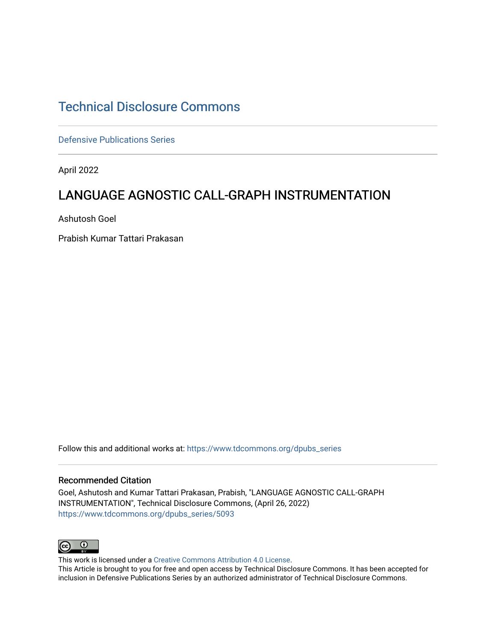# [Technical Disclosure Commons](https://www.tdcommons.org/)

[Defensive Publications Series](https://www.tdcommons.org/dpubs_series)

April 2022

# LANGUAGE AGNOSTIC CALL-GRAPH INSTRUMENTATION

Ashutosh Goel

Prabish Kumar Tattari Prakasan

Follow this and additional works at: [https://www.tdcommons.org/dpubs\\_series](https://www.tdcommons.org/dpubs_series?utm_source=www.tdcommons.org%2Fdpubs_series%2F5093&utm_medium=PDF&utm_campaign=PDFCoverPages) 

#### Recommended Citation

Goel, Ashutosh and Kumar Tattari Prakasan, Prabish, "LANGUAGE AGNOSTIC CALL-GRAPH INSTRUMENTATION", Technical Disclosure Commons, (April 26, 2022) [https://www.tdcommons.org/dpubs\\_series/5093](https://www.tdcommons.org/dpubs_series/5093?utm_source=www.tdcommons.org%2Fdpubs_series%2F5093&utm_medium=PDF&utm_campaign=PDFCoverPages)



This work is licensed under a [Creative Commons Attribution 4.0 License](http://creativecommons.org/licenses/by/4.0/deed.en_US). This Article is brought to you for free and open access by Technical Disclosure Commons. It has been accepted for inclusion in Defensive Publications Series by an authorized administrator of Technical Disclosure Commons.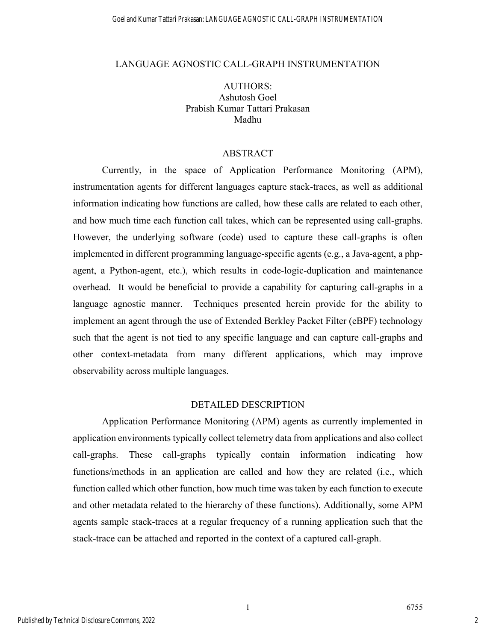#### LANGUAGE AGNOSTIC CALL-GRAPH INSTRUMENTATION

AUTHORS: Ashutosh Goel Prabish Kumar Tattari Prakasan Madhu

### ABSTRACT

Currently, in the space of Application Performance Monitoring (APM), instrumentation agents for different languages capture stack-traces, as well as additional information indicating how functions are called, how these calls are related to each other, and how much time each function call takes, which can be represented using call-graphs. However, the underlying software (code) used to capture these call-graphs is often implemented in different programming language-specific agents (e.g., a Java-agent, a phpagent, a Python-agent, etc.), which results in code-logic-duplication and maintenance overhead. It would be beneficial to provide a capability for capturing call-graphs in a language agnostic manner. Techniques presented herein provide for the ability to implement an agent through the use of Extended Berkley Packet Filter (eBPF) technology such that the agent is not tied to any specific language and can capture call-graphs and other context-metadata from many different applications, which may improve observability across multiple languages.

### DETAILED DESCRIPTION

Application Performance Monitoring (APM) agents as currently implemented in application environments typically collect telemetry data from applications and also collect call-graphs. These call-graphs typically contain information indicating how functions/methods in an application are called and how they are related (i.e., which function called which other function, how much time was taken by each function to execute and other metadata related to the hierarchy of these functions). Additionally, some APM agents sample stack-traces at a regular frequency of a running application such that the stack-trace can be attached and reported in the context of a captured call-graph.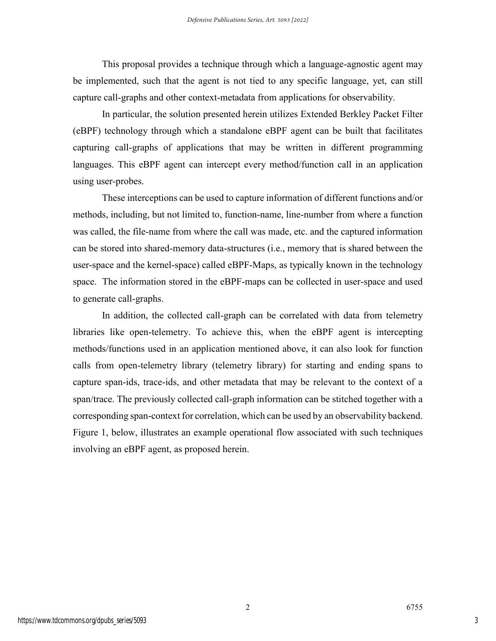This proposal provides a technique through which a language-agnostic agent may be implemented, such that the agent is not tied to any specific language, yet, can still capture call-graphs and other context-metadata from applications for observability.

In particular, the solution presented herein utilizes Extended Berkley Packet Filter (eBPF) technology through which a standalone eBPF agent can be built that facilitates capturing call-graphs of applications that may be written in different programming languages. This eBPF agent can intercept every method/function call in an application using user-probes.

These interceptions can be used to capture information of different functions and/or methods, including, but not limited to, function-name, line-number from where a function was called, the file-name from where the call was made, etc. and the captured information can be stored into shared-memory data-structures (i.e., memory that is shared between the user-space and the kernel-space) called eBPF-Maps, as typically known in the technology space. The information stored in the eBPF-maps can be collected in user-space and used to generate call-graphs.

In addition, the collected call-graph can be correlated with data from telemetry libraries like open-telemetry. To achieve this, when the eBPF agent is intercepting methods/functions used in an application mentioned above, it can also look for function calls from open-telemetry library (telemetry library) for starting and ending spans to capture span-ids, trace-ids, and other metadata that may be relevant to the context of a span/trace. The previously collected call-graph information can be stitched together with a corresponding span-context for correlation, which can be used by an observability backend. Figure 1, below, illustrates an example operational flow associated with such techniques involving an eBPF agent, as proposed herein.

2 6755